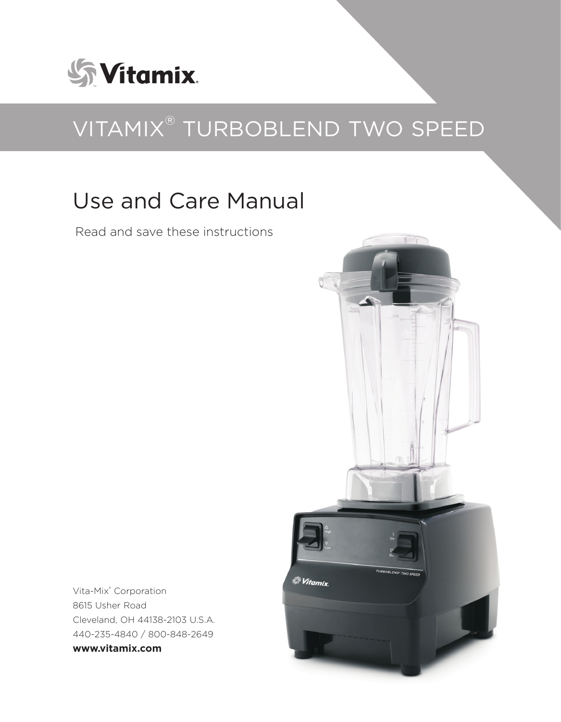

# VITAMIX® TURBOBLEND TWO SPEED

# Use and Care Manual

Read and save these instructions



Vita-Mix® Corporation 8615 Usher Road Cleveland, OH 44138-2103 U.S.A. 440-235-4840 / 800-848-2649 **www.vitamix.com**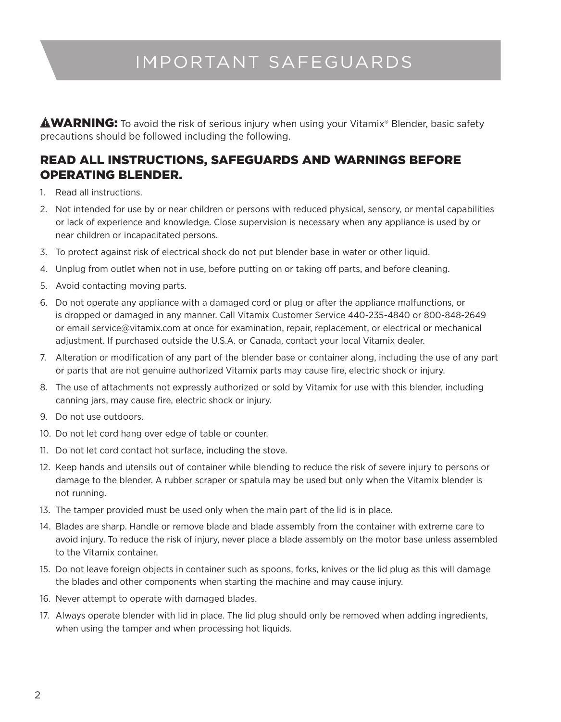## IMPORTANT SAFEGUARDS

**AWARNING:** To avoid the risk of serious injury when using your Vitamix® Blender, basic safety precautions should be followed including the following.

#### READ ALL INSTRUCTIONS, SAFEGUARDS AND WARNINGS BEFORE OPERATING BLENDER.

- 1. Read all instructions.
- 2. Not intended for use by or near children or persons with reduced physical, sensory, or mental capabilities or lack of experience and knowledge. Close supervision is necessary when any appliance is used by or near children or incapacitated persons.
- 3. To protect against risk of electrical shock do not put blender base in water or other liquid.
- 4. Unplug from outlet when not in use, before putting on or taking off parts, and before cleaning.
- 5. Avoid contacting moving parts.
- 6. Do not operate any appliance with a damaged cord or plug or after the appliance malfunctions, or is dropped or damaged in any manner. Call Vitamix Customer Service 440-235-4840 or 800-848-2649 or email service@vitamix.com at once for examination, repair, replacement, or electrical or mechanical adjustment. If purchased outside the U.S.A. or Canada, contact your local Vitamix dealer.
- 7. Alteration or modification of any part of the blender base or container along, including the use of any part or parts that are not genuine authorized Vitamix parts may cause fire, electric shock or injury.
- 8. The use of attachments not expressly authorized or sold by Vitamix for use with this blender, including canning jars, may cause fire, electric shock or injury.
- 9. Do not use outdoors.
- 10. Do not let cord hang over edge of table or counter.
- 11. Do not let cord contact hot surface, including the stove.
- 12. Keep hands and utensils out of container while blending to reduce the risk of severe injury to persons or damage to the blender. A rubber scraper or spatula may be used but only when the Vitamix blender is not running.
- 13. The tamper provided must be used only when the main part of the lid is in place.
- 14. Blades are sharp. Handle or remove blade and blade assembly from the container with extreme care to avoid injury. To reduce the risk of injury, never place a blade assembly on the motor base unless assembled to the Vitamix container.
- 15. Do not leave foreign objects in container such as spoons, forks, knives or the lid plug as this will damage the blades and other components when starting the machine and may cause injury.
- 16. Never attempt to operate with damaged blades.
- 17. Always operate blender with lid in place. The lid plug should only be removed when adding ingredients, when using the tamper and when processing hot liquids.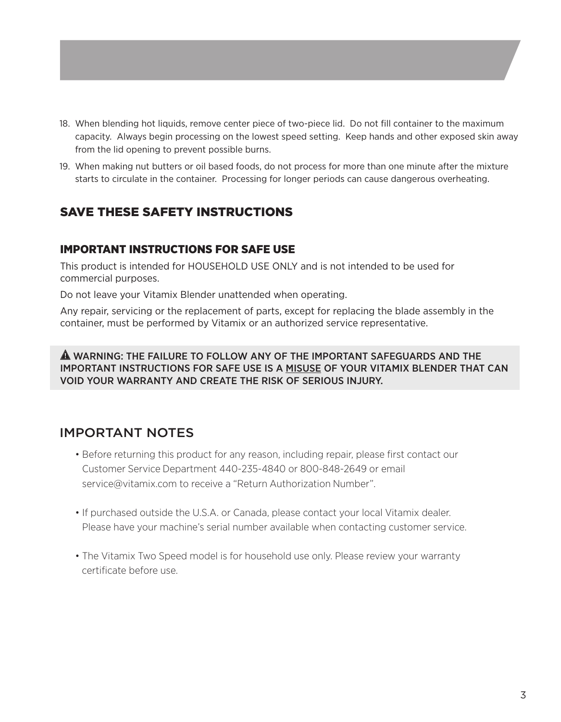- 18. When blending hot liquids, remove center piece of two-piece lid. Do not fill container to the maximum capacity. Always begin processing on the lowest speed setting. Keep hands and other exposed skin away from the lid opening to prevent possible burns.
- 19. When making nut butters or oil based foods, do not process for more than one minute after the mixture starts to circulate in the container. Processing for longer periods can cause dangerous overheating.

### SAVE THESE SAFETY INSTRUCTIONS

#### IMPORTANT INSTRUCTIONS FOR SAFE USE

This product is intended for HOUSEHOLD USE ONLY and is not intended to be used for commercial purposes.

Do not leave your Vitamix Blender unattended when operating.

Any repair, servicing or the replacement of parts, except for replacing the blade assembly in the container, must be performed by Vitamix or an authorized service representative.

#### WARNING: THE FAILURE TO FOLLOW ANY OF THE IMPORTANT SAFEGUARDS AND THE IMPORTANT INSTRUCTIONS FOR SAFE USE IS A MISUSE OF YOUR VITAMIX BLENDER THAT CAN VOID YOUR WARRANTY AND CREATE THE RISK OF SERIOUS INJURY.

### IMPORTANT NOTES

- Before returning this product for any reason, including repair, please first contact our Customer Service Department 440-235-4840 or 800-848-2649 or email service@vitamix.com to receive a "Return Authorization Number".
- If purchased outside the U.S.A. or Canada, please contact your local Vitamix dealer. Please have your machine's serial number available when contacting customer service.
- The Vitamix Two Speed model is for household use only. Please review your warranty certificate before use.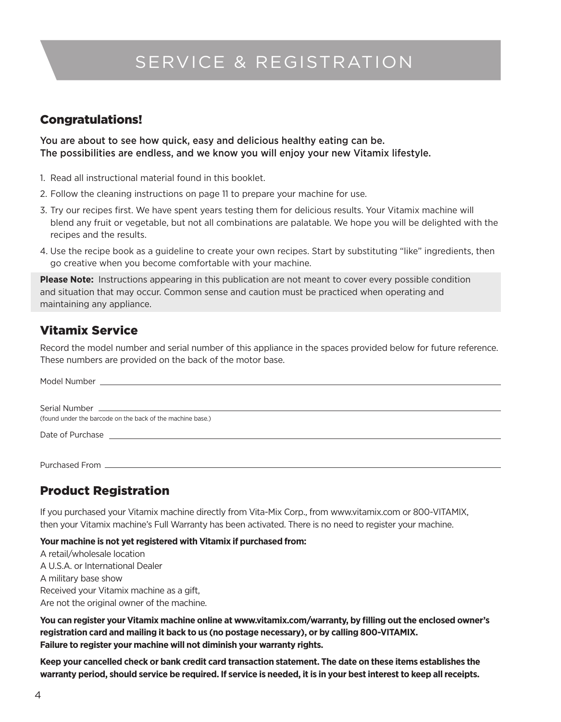## SERVICE & REGISTRATION

#### Congratulations!

You are about to see how quick, easy and delicious healthy eating can be. The possibilities are endless, and we know you will enjoy your new Vitamix lifestyle.

- 1. Read all instructional material found in this booklet.
- 2. Follow the cleaning instructions on page 11 to prepare your machine for use.
- 3. Try our recipes first. We have spent years testing them for delicious results. Your Vitamix machine will blend any fruit or vegetable, but not all combinations are palatable. We hope you will be delighted with the recipes and the results.
- 4. Use the recipe book as a guideline to create your own recipes. Start by substituting "like" ingredients, then go creative when you become comfortable with your machine.

**Please Note:** Instructions appearing in this publication are not meant to cover every possible condition and situation that may occur. Common sense and caution must be practiced when operating and maintaining any appliance.

### Vitamix Service

Record the model number and serial number of this appliance in the spaces provided below for future reference. These numbers are provided on the back of the motor base.

| (found under the barcode on the back of the machine base.) |  |  |
|------------------------------------------------------------|--|--|
|                                                            |  |  |
|                                                            |  |  |
|                                                            |  |  |

### Product Registration

If you purchased your Vitamix machine directly from Vita-Mix Corp., from www.vitamix.com or 800-VITAMIX, then your Vitamix machine's Full Warranty has been activated. There is no need to register your machine.

#### **Your machine is not yet registered with Vitamix if purchased from:**

A retail/wholesale location A U.S.A. or International Dealer A military base show Received your Vitamix machine as a gift, Are not the original owner of the machine.

**You can register your Vitamix machine online at www.vitamix.com/warranty, by filling out the enclosed owner's registration card and mailing it back to us (no postage necessary), or by calling 800-VITAMIX. Failure to register your machine will not diminish your warranty rights.**

**Keep your cancelled check or bank credit card transaction statement. The date on these items establishes the warranty period, should service be required. If service is needed, it is in your best interest to keep all receipts.**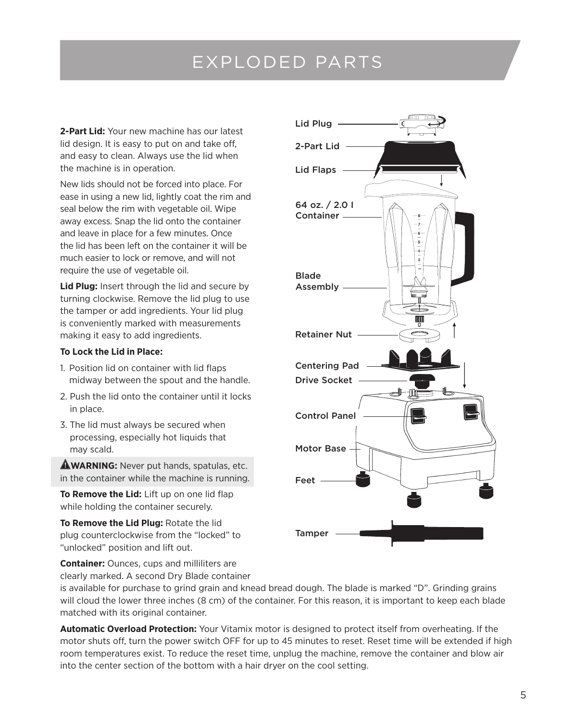## EXPLODED PARTS

**2-Part Lid:** Your new machine has our latest lid design. It is easy to put on and take off, and easy to clean. Always use the lid when the machine is in operation.

New lids should not be forced into place. For ease in using a new lid, lightly coat the rim and seal below the rim with vegetable oil. Wipe away excess. Snap the lid onto the container and leave in place for a few minutes. Once the lid has been left on the container it will be much easier to lock or remove, and will not require the use of vegetable oil.

**Lid Plug:** Insert through the lid and secure by turning clockwise. Remove the lid plug to use the tamper or add ingredients. Your lid plug is conveniently marked with measurements making it easy to add ingredients.

#### **To Lock the Lid in Place:**

- 1. Position lid on container with lid flaps midway between the spout and the handle.
- 2. Push the lid onto the container until it locks in place.
- 3. The lid must always be secured when processing, especially hot liquids that may scald.

**AWARNING:** Never put hands, spatulas, etc. in the container while the machine is running.

**To Remove the Lid:** Lift up on one lid flap while holding the container securely.

**To Remove the Lid Plug:** Rotate the lid plug counterclockwise from the "locked" to "unlocked" position and lift out.

**Container:** Ounces, cups and milliliters are clearly marked. A second Dry Blade container Lid Plug 2-Part Lid Lid Flaps -64 oz. / 2.0 I Container Blade Assembly Retainer Nut Centering Pad Drive Socket Control Panel Motor Base Feet **Tamper** 

is available for purchase to grind grain and knead bread dough. The blade is marked "D". Grinding grains will cloud the lower three inches (8 cm) of the container. For this reason, it is important to keep each blade matched with its original container.

**Automatic Overload Protection:** Your Vitamix motor is designed to protect itself from overheating. If the motor shuts off, turn the power switch OFF for up to 45 minutes to reset. Reset time will be extended if high room temperatures exist. To reduce the reset time, unplug the machine, remove the container and blow air into the center section of the bottom with a hair dryer on the cool setting.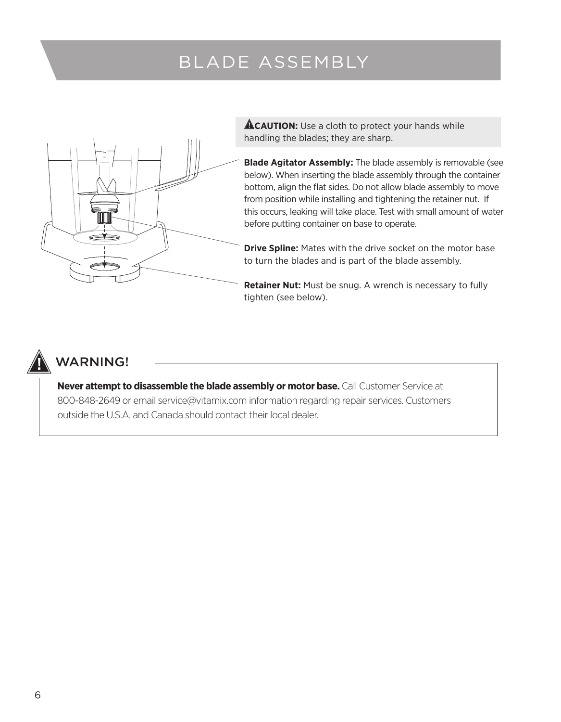## BLADE ASSEMBLY



**ACAUTION:** Use a cloth to protect your hands while handling the blades; they are sharp.

**Blade Agitator Assembly:** The blade assembly is removable (see below). When inserting the blade assembly through the container bottom, align the flat sides. Do not allow blade assembly to move from position while installing and tightening the retainer nut. If this occurs, leaking will take place. Test with small amount of water before putting container on base to operate.

**Drive Spline:** Mates with the drive socket on the motor base to turn the blades and is part of the blade assembly.

**Retainer Nut:** Must be snug. A wrench is necessary to fully tighten (see below).



### WARNING!

**Never attempt to disassemble the blade assembly or motor base.** Call Customer Service at 800-848-2649 or email service@vitamix.com information regarding repair services. Customers outside the U.S.A. and Canada should contact their local dealer.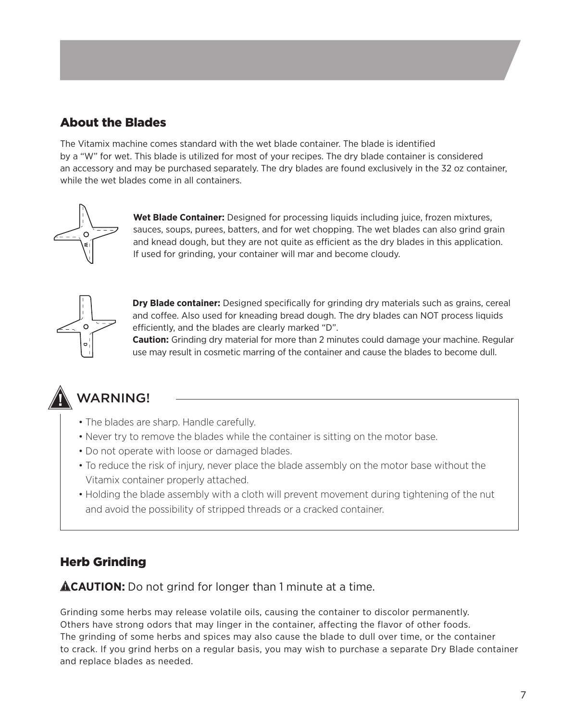### About the Blades

The Vitamix machine comes standard with the wet blade container. The blade is identified by a "W" for wet. This blade is utilized for most of your recipes. The dry blade container is considered an accessory and may be purchased separately. The dry blades are found exclusively in the 32 oz container, while the wet blades come in all containers.



**Wet Blade Container:** Designed for processing liquids including juice, frozen mixtures, sauces, soups, purees, batters, and for wet chopping. The wet blades can also grind grain and knead dough, but they are not quite as efficient as the dry blades in this application. If used for grinding, your container will mar and become cloudy.



**Dry Blade container:** Designed specifically for grinding dry materials such as grains, cereal and coffee. Also used for kneading bread dough. The dry blades can NOT process liquids efficiently, and the blades are clearly marked "D".

**Caution:** Grinding dry material for more than 2 minutes could damage your machine. Regular use may result in cosmetic marring of the container and cause the blades to become dull.



### WARNING!

- The blades are sharp. Handle carefully.
- Never try to remove the blades while the container is sitting on the motor base.
- Do not operate with loose or damaged blades.
- To reduce the risk of injury, never place the blade assembly on the motor base without the Vitamix container properly attached.
- Holding the blade assembly with a cloth will prevent movement during tightening of the nut and avoid the possibility of stripped threads or a cracked container.

### Herb Grinding

**ACAUTION:** Do not grind for longer than 1 minute at a time.

Grinding some herbs may release volatile oils, causing the container to discolor permanently. Others have strong odors that may linger in the container, affecting the flavor of other foods. The grinding of some herbs and spices may also cause the blade to dull over time, or the container to crack. If you grind herbs on a regular basis, you may wish to purchase a separate Dry Blade container and replace blades as needed.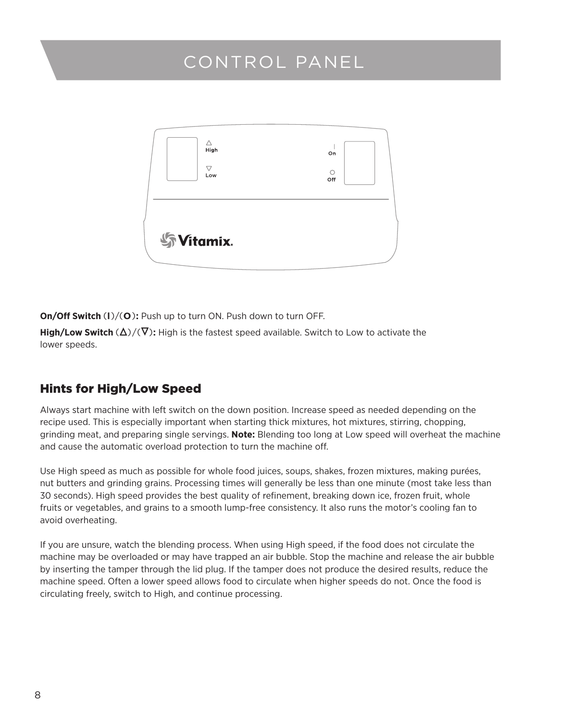## CONTROL PANEL



**On/Off Switch** (**l**)/(**O**)**:** Push up to turn ON. Push down to turn OFF.

**High/Low Switch**  $(\Delta)/(\nabla)$ : High is the fastest speed available. Switch to Low to activate the lower speeds.

### Hints for High/Low Speed

Always start machine with left switch on the down position. Increase speed as needed depending on the recipe used. This is especially important when starting thick mixtures, hot mixtures, stirring, chopping, grinding meat, and preparing single servings. **Note:** Blending too long at Low speed will overheat the machine and cause the automatic overload protection to turn the machine off.

Use High speed as much as possible for whole food juices, soups, shakes, frozen mixtures, making purées, nut butters and grinding grains. Processing times will generally be less than one minute (most take less than 30 seconds). High speed provides the best quality of refinement, breaking down ice, frozen fruit, whole fruits or vegetables, and grains to a smooth lump-free consistency. It also runs the motor's cooling fan to avoid overheating.

If you are unsure, watch the blending process. When using High speed, if the food does not circulate the machine may be overloaded or may have trapped an air bubble. Stop the machine and release the air bubble by inserting the tamper through the lid plug. If the tamper does not produce the desired results, reduce the machine speed. Often a lower speed allows food to circulate when higher speeds do not. Once the food is circulating freely, switch to High, and continue processing.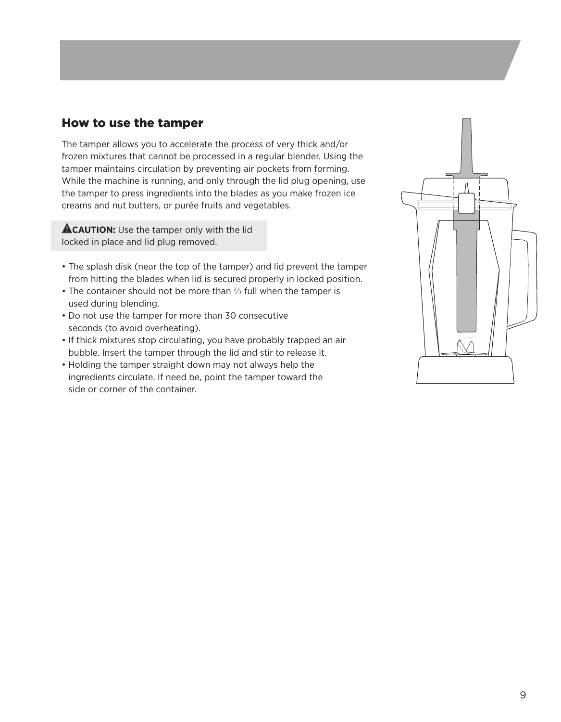#### How to use the tamper

The tamper allows you to accelerate the process of very thick and/or frozen mixtures that cannot be processed in a regular blender. Using the tamper maintains circulation by preventing air pockets from forming. While the machine is running, and only through the lid plug opening, use the tamper to press ingredients into the blades as you make frozen ice creams and nut butters, or purée fruits and vegetables.

**ACAUTION:** Use the tamper only with the lid locked in place and lid plug removed.

- The splash disk (near the top of the tamper) and lid prevent the tamper from hitting the blades when lid is secured properly in locked position.
- The container should not be more than  $\frac{2}{3}$  full when the tamper is used during blending.
- Do not use the tamper for more than 30 consecutive seconds (to avoid overheating).
- If thick mixtures stop circulating, you have probably trapped an air bubble. Insert the tamper through the lid and stir to release it.
- Holding the tamper straight down may not always help the ingredients circulate. If need be, point the tamper toward the side or corner of the container.

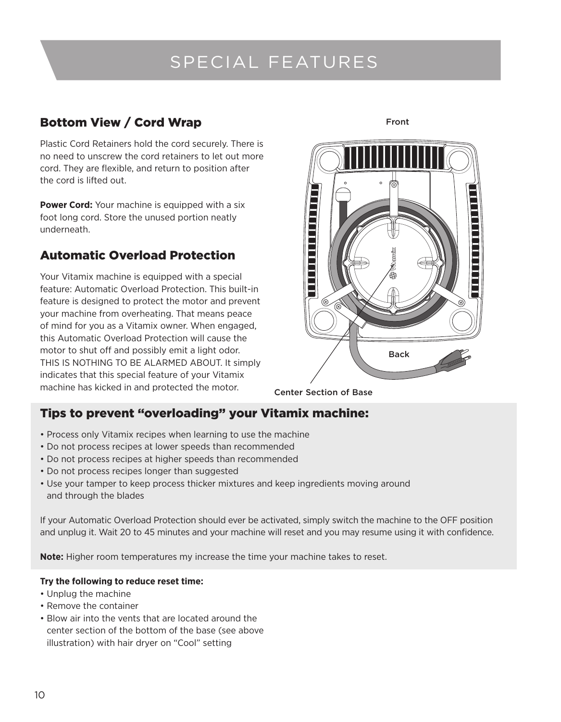## SPECIAL FEATURES

### Bottom View / Cord Wrap

Plastic Cord Retainers hold the cord securely. There is no need to unscrew the cord retainers to let out more cord. They are flexible, and return to position after the cord is lifted out.

**Power Cord:** Your machine is equipped with a six foot long cord. Store the unused portion neatly underneath.

### Automatic Overload Protection

Your Vitamix machine is equipped with a special feature: Automatic Overload Protection. This built-in feature is designed to protect the motor and prevent your machine from overheating. That means peace of mind for you as a Vitamix owner. When engaged, this Automatic Overload Protection will cause the motor to shut off and possibly emit a light odor. THIS IS NOTHING TO BE ALARMED ABOUT. It simply indicates that this special feature of your Vitamix machine has kicked in and protected the motor.

Back

Front

Center Section of Base

### Tips to prevent "overloading" your Vitamix machine:

- Process only Vitamix recipes when learning to use the machine
- Do not process recipes at lower speeds than recommended
- Do not process recipes at higher speeds than recommended
- Do not process recipes longer than suggested
- Use your tamper to keep process thicker mixtures and keep ingredients moving around and through the blades

If your Automatic Overload Protection should ever be activated, simply switch the machine to the OFF position and unplug it. Wait 20 to 45 minutes and your machine will reset and you may resume using it with confidence.

**Note:** Higher room temperatures my increase the time your machine takes to reset.

#### **Try the following to reduce reset time:**

- Unplug the machine
- Remove the container
- Blow air into the vents that are located around the center section of the bottom of the base (see above illustration) with hair dryer on "Cool" setting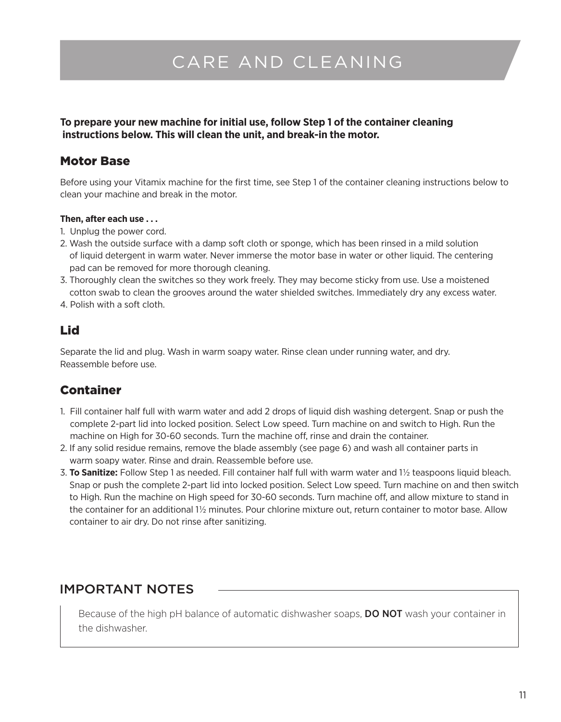## CARE AND CLEANING

**To prepare your new machine for initial use, follow Step 1 of the container cleaning instructions below. This will clean the unit, and break-in the motor.**

#### Motor Base

Before using your Vitamix machine for the first time, see Step 1 of the container cleaning instructions below to clean your machine and break in the motor.

#### **Then, after each use . . .**

- 1. Unplug the power cord.
- 2. Wash the outside surface with a damp soft cloth or sponge, which has been rinsed in a mild solution of liquid detergent in warm water. Never immerse the motor base in water or other liquid. The centering pad can be removed for more thorough cleaning.
- 3. Thoroughly clean the switches so they work freely. They may become sticky from use. Use a moistened cotton swab to clean the grooves around the water shielded switches. Immediately dry any excess water.
- 4. Polish with a soft cloth.

### Lid

Separate the lid and plug. Wash in warm soapy water. Rinse clean under running water, and dry. Reassemble before use.

### Container

- 1. Fill container half full with warm water and add 2 drops of liquid dish washing detergent. Snap or push the complete 2-part lid into locked position. Select Low speed. Turn machine on and switch to High. Run the machine on High for 30-60 seconds. Turn the machine off, rinse and drain the container.
- 2. If any solid residue remains, remove the blade assembly (see page 6) and wash all container parts in warm soapy water. Rinse and drain. Reassemble before use.
- 3. **To Sanitize:** Follow Step 1 as needed. Fill container half full with warm water and 11/2 teaspoons liquid bleach. Snap or push the complete 2-part lid into locked position. Select Low speed. Turn machine on and then switch to High. Run the machine on High speed for 30-60 seconds. Turn machine off, and allow mixture to stand in the container for an additional 11/2 minutes. Pour chlorine mixture out, return container to motor base. Allow container to air dry. Do not rinse after sanitizing.

### IMPORTANT NOTES

Because of the high pH balance of automatic dishwasher soaps, DO NOT wash your container in the dishwasher.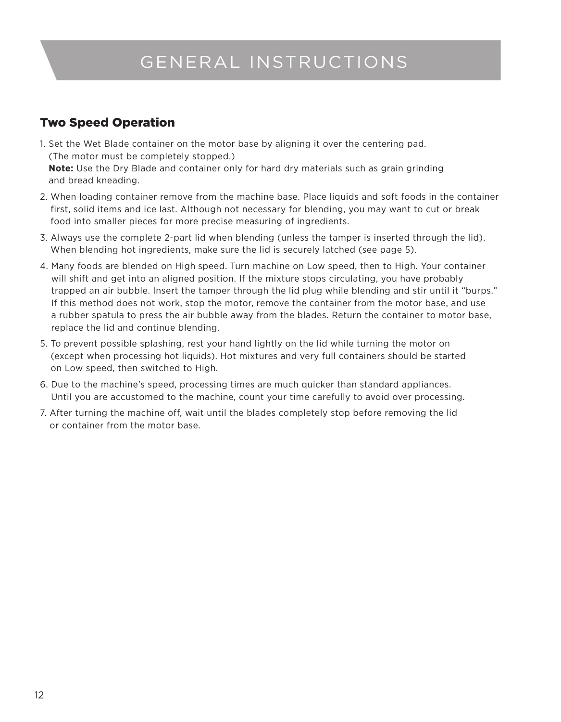## GENERAL INSTRUCTIONS

### Two Speed Operation

- 1. Set the Wet Blade container on the motor base by aligning it over the centering pad. (The motor must be completely stopped.) **Note:** Use the Dry Blade and container only for hard dry materials such as grain grinding and bread kneading.
- 2. When loading container remove from the machine base. Place liquids and soft foods in the container first, solid items and ice last. Although not necessary for blending, you may want to cut or break food into smaller pieces for more precise measuring of ingredients.
- 3. Always use the complete 2-part lid when blending (unless the tamper is inserted through the lid). When blending hot ingredients, make sure the lid is securely latched (see page 5).
- 4. Many foods are blended on High speed. Turn machine on Low speed, then to High. Your container will shift and get into an aligned position. If the mixture stops circulating, you have probably trapped an air bubble. Insert the tamper through the lid plug while blending and stir until it "burps." If this method does not work, stop the motor, remove the container from the motor base, and use a rubber spatula to press the air bubble away from the blades. Return the container to motor base, replace the lid and continue blending.
- 5. To prevent possible splashing, rest your hand lightly on the lid while turning the motor on (except when processing hot liquids). Hot mixtures and very full containers should be started on Low speed, then switched to High.
- 6. Due to the machine's speed, processing times are much quicker than standard appliances. Until you are accustomed to the machine, count your time carefully to avoid over processing.
- 7. After turning the machine off, wait until the blades completely stop before removing the lid or container from the motor base.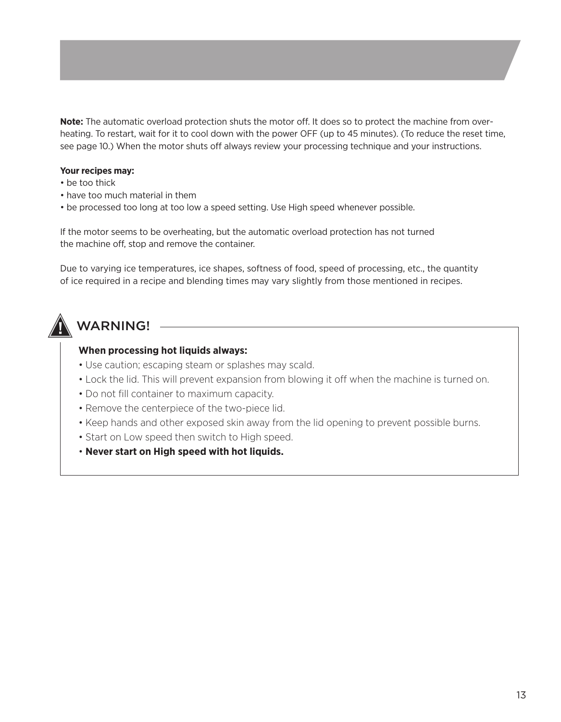**Note:** The automatic overload protection shuts the motor off. It does so to protect the machine from overheating. To restart, wait for it to cool down with the power OFF (up to 45 minutes). (To reduce the reset time, see page 10.) When the motor shuts off always review your processing technique and your instructions.

#### **Your recipes may:**

- be too thick
- have too much material in them
- be processed too long at too low a speed setting. Use High speed whenever possible.

If the motor seems to be overheating, but the automatic overload protection has not turned the machine off, stop and remove the container.

Due to varying ice temperatures, ice shapes, softness of food, speed of processing, etc., the quantity of ice required in a recipe and blending times may vary slightly from those mentioned in recipes.

## **WARNING!**

#### **When processing hot liquids always:**

- Use caution; escaping steam or splashes may scald.
- Lock the lid. This will prevent expansion from blowing it off when the machine is turned on.
- Do not fill container to maximum capacity.
- Remove the centerpiece of the two-piece lid.
- Keep hands and other exposed skin away from the lid opening to prevent possible burns.
- Start on Low speed then switch to High speed.
- **Never start on High speed with hot liquids.**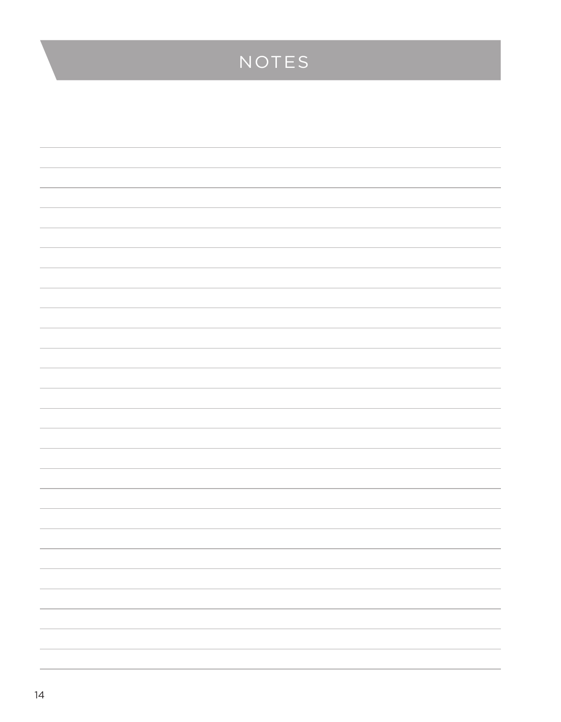## NOTES